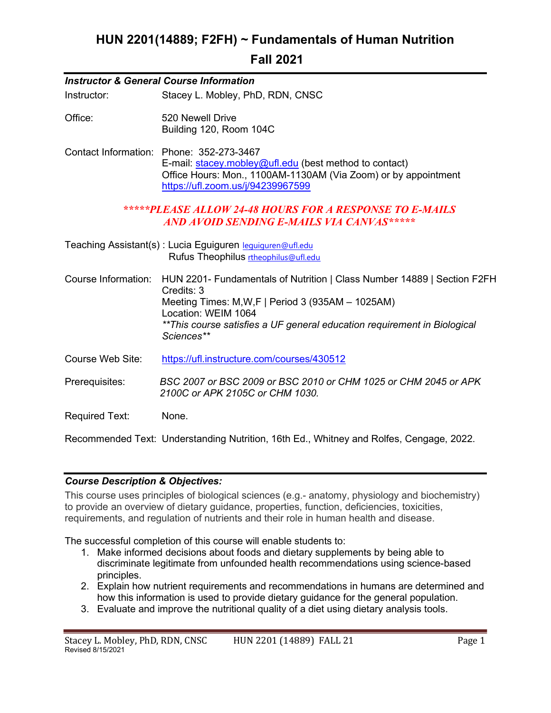# HUN 2201(14889; F2FH) ~ Fundamentals of Human Nutrition

# Fall 2021

| <b>Instructor &amp; General Course Information</b> |                                                                                                                                                                                                                                                                |  |  |  |
|----------------------------------------------------|----------------------------------------------------------------------------------------------------------------------------------------------------------------------------------------------------------------------------------------------------------------|--|--|--|
| Instructor:                                        | Stacey L. Mobley, PhD, RDN, CNSC                                                                                                                                                                                                                               |  |  |  |
| Office:                                            | 520 Newell Drive<br>Building 120, Room 104C                                                                                                                                                                                                                    |  |  |  |
|                                                    | Contact Information: Phone: 352-273-3467<br>E-mail: stacey.mobley@ufl.edu (best method to contact)<br>Office Hours: Mon., 1100AM-1130AM (Via Zoom) or by appointment<br>https://ufl.zoom.us/j/94239967599                                                      |  |  |  |
|                                                    | *****PLEASE ALLOW 24-48 HOURS FOR A RESPONSE TO E-MAILS<br>AND AVOID SENDING E-MAILS VIA CANVAS*****                                                                                                                                                           |  |  |  |
|                                                    | Teaching Assistant(s): Lucia Eguiguren lequiguren@ufl.edu<br>Rufus Theophilus rtheophilus@ufl.edu                                                                                                                                                              |  |  |  |
| Course Information:                                | HUN 2201- Fundamentals of Nutrition   Class Number 14889   Section F2FH<br>Credits: 3<br>Meeting Times: $M, W, F$   Period 3 (935AM - 1025AM)<br>Location: WEIM 1064<br>**This course satisfies a UF general education requirement in Biological<br>Sciences** |  |  |  |
| Course Web Site:                                   | https://ufl.instructure.com/courses/430512                                                                                                                                                                                                                     |  |  |  |
| Prerequisites:                                     | BSC 2007 or BSC 2009 or BSC 2010 or CHM 1025 or CHM 2045 or APK<br>2100C or APK 2105C or CHM 1030.                                                                                                                                                             |  |  |  |
| <b>Required Text:</b>                              | None.                                                                                                                                                                                                                                                          |  |  |  |
|                                                    | Recommended Text: Understanding Nutrition, 16th Ed., Whitney and Rolfes, Cengage, 2022.                                                                                                                                                                        |  |  |  |

## Course Description & Objectives:

This course uses principles of biological sciences (e.g.- anatomy, physiology and biochemistry) to provide an overview of dietary guidance, properties, function, deficiencies, toxicities, requirements, and regulation of nutrients and their role in human health and disease.

The successful completion of this course will enable students to:

- 1. Make informed decisions about foods and dietary supplements by being able to discriminate legitimate from unfounded health recommendations using science-based principles.
- 2. Explain how nutrient requirements and recommendations in humans are determined and how this information is used to provide dietary guidance for the general population.
- 3. Evaluate and improve the nutritional quality of a diet using dietary analysis tools.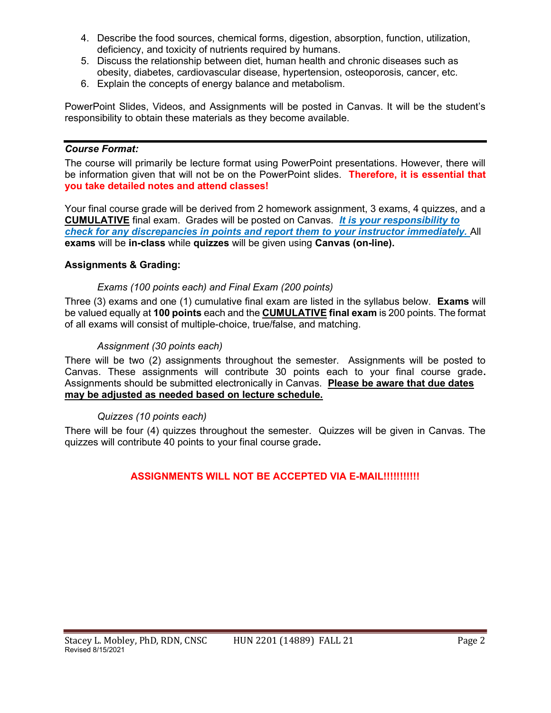- 4. Describe the food sources, chemical forms, digestion, absorption, function, utilization, deficiency, and toxicity of nutrients required by humans.
- 5. Discuss the relationship between diet, human health and chronic diseases such as obesity, diabetes, cardiovascular disease, hypertension, osteoporosis, cancer, etc.
- 6. Explain the concepts of energy balance and metabolism.

PowerPoint Slides, Videos, and Assignments will be posted in Canvas. It will be the student's responsibility to obtain these materials as they become available.

## Course Format:

The course will primarily be lecture format using PowerPoint presentations. However, there will be information given that will not be on the PowerPoint slides. Therefore, it is essential that you take detailed notes and attend classes!

Your final course grade will be derived from 2 homework assignment, 3 exams, 4 quizzes, and a CUMULATIVE final exam. Grades will be posted on Canvas. It is your responsibility to check for any discrepancies in points and report them to your instructor immediately. All exams will be in-class while quizzes will be given using Canvas (on-line).

## Assignments & Grading:

## Exams (100 points each) and Final Exam (200 points)

Three (3) exams and one (1) cumulative final exam are listed in the syllabus below. Exams will be valued equally at 100 points each and the CUMULATIVE final exam is 200 points. The format of all exams will consist of multiple-choice, true/false, and matching.

## Assignment (30 points each)

There will be two (2) assignments throughout the semester. Assignments will be posted to Canvas. These assignments will contribute 30 points each to your final course grade. Assignments should be submitted electronically in Canvas. Please be aware that due dates may be adjusted as needed based on lecture schedule.

#### Quizzes (10 points each)

There will be four (4) quizzes throughout the semester. Quizzes will be given in Canvas. The quizzes will contribute 40 points to your final course grade.

## ASSIGNMENTS WILL NOT BE ACCEPTED VIA E-MAIL!!!!!!!!!!!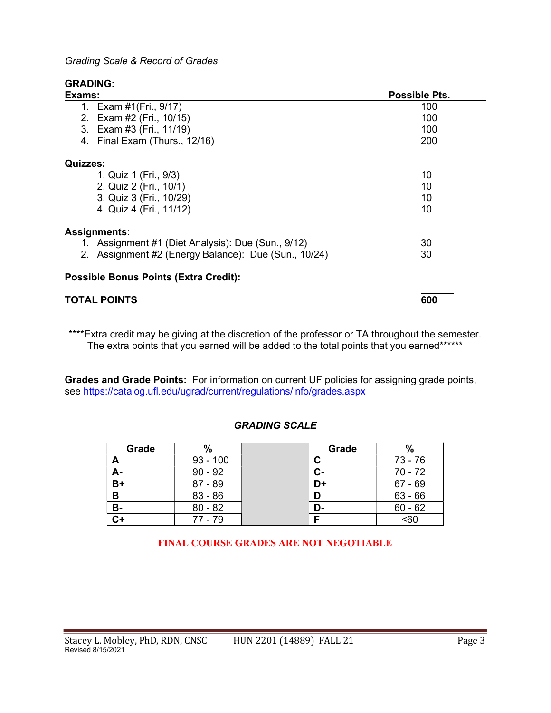Grading Scale & Record of Grades

## GRADING:

| Exams:                                               | Possible Pts. |  |  |
|------------------------------------------------------|---------------|--|--|
| 1. Exam #1(Fri., 9/17)                               | 100           |  |  |
| 2. Exam #2 (Fri., 10/15)                             | 100           |  |  |
| 3. Exam #3 (Fri., 11/19)                             | 100           |  |  |
| 4. Final Exam (Thurs., 12/16)                        | 200           |  |  |
| <b>Quizzes:</b>                                      |               |  |  |
| 1. Quiz 1 (Fri., 9/3)                                | 10            |  |  |
| 2. Quiz 2 (Fri., 10/1)                               | 10            |  |  |
| 3. Quiz 3 (Fri., 10/29)                              | 10            |  |  |
| 4. Quiz 4 (Fri., 11/12)                              | 10            |  |  |
| <b>Assignments:</b>                                  |               |  |  |
| 1. Assignment #1 (Diet Analysis): Due (Sun., 9/12)   | 30            |  |  |
| 2. Assignment #2 (Energy Balance): Due (Sun., 10/24) | 30            |  |  |
| <b>Possible Bonus Points (Extra Credit):</b>         |               |  |  |
| <b>TOTAL POINTS</b>                                  | 600           |  |  |

\*\*\*\*Extra credit may be giving at the discretion of the professor or TA throughout the semester. The extra points that you earned will be added to the total points that you earned\*\*\*\*\*\*

Grades and Grade Points: For information on current UF policies for assigning grade points, see https://catalog.ufl.edu/ugrad/current/regulations/info/grades.aspx

## GRADING SCALE

| Grade          | $\%$       |   | Grade | %         |
|----------------|------------|---|-------|-----------|
| А              | $93 - 100$ |   |       | 73 - 76   |
| А-             | $90 - 92$  |   | $C -$ | $70 - 72$ |
| $B+$           | $87 - 89$  |   | D+    | $67 - 69$ |
| B              | $83 - 86$  | D |       | $63 - 66$ |
| <b>B-</b>      | $80 - 82$  |   | D-    | $60 - 62$ |
| $\overline{C}$ | $77 - 79$  | Е |       | <60       |

FINAL COURSE GRADES ARE NOT NEGOTIABLE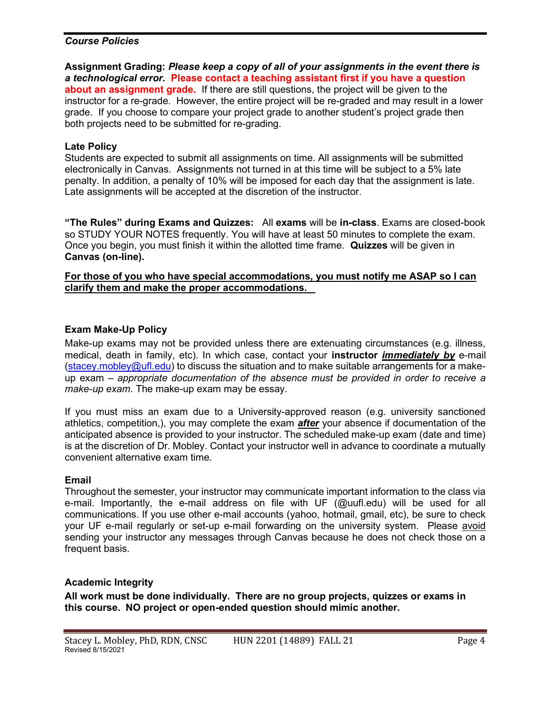#### Course Policies

Assignment Grading: Please keep a copy of all of your assignments in the event there is a technological error. Please contact a teaching assistant first if you have a question about an assignment grade. If there are still questions, the project will be given to the instructor for a re-grade. However, the entire project will be re-graded and may result in a lower grade. If you choose to compare your project grade to another student's project grade then both projects need to be submitted for re-grading.

#### Late Policy

Students are expected to submit all assignments on time. All assignments will be submitted electronically in Canvas. Assignments not turned in at this time will be subject to a 5% late penalty. In addition, a penalty of 10% will be imposed for each day that the assignment is late. Late assignments will be accepted at the discretion of the instructor.

"The Rules" during Exams and Quizzes: All exams will be in-class. Exams are closed-book so STUDY YOUR NOTES frequently. You will have at least 50 minutes to complete the exam. Once you begin, you must finish it within the allotted time frame. Quizzes will be given in Canvas (on-line).

For those of you who have special accommodations, you must notify me ASAP so I can clarify them and make the proper accommodations.

## Exam Make-Up Policy

Make-up exams may not be provided unless there are extenuating circumstances (e.g. illness, medical, death in family, etc). In which case, contact your **instructor** *immediately by* e-mail (stacey.mobley@ufl.edu) to discuss the situation and to make suitable arrangements for a makeup exam – appropriate documentation of the absence must be provided in order to receive a make-up exam. The make-up exam may be essay.

If you must miss an exam due to a University-approved reason (e.g. university sanctioned athletics, competition,), you may complete the exam **after** your absence if documentation of the anticipated absence is provided to your instructor. The scheduled make-up exam (date and time) is at the discretion of Dr. Mobley. Contact your instructor well in advance to coordinate a mutually convenient alternative exam time.

#### Email

Throughout the semester, your instructor may communicate important information to the class via e-mail. Importantly, the e-mail address on file with UF (@uufl.edu) will be used for all communications. If you use other e-mail accounts (yahoo, hotmail, gmail, etc), be sure to check your UF e-mail regularly or set-up e-mail forwarding on the university system. Please avoid sending your instructor any messages through Canvas because he does not check those on a frequent basis.

#### Academic Integrity

All work must be done individually. There are no group projects, quizzes or exams in this course. NO project or open-ended question should mimic another.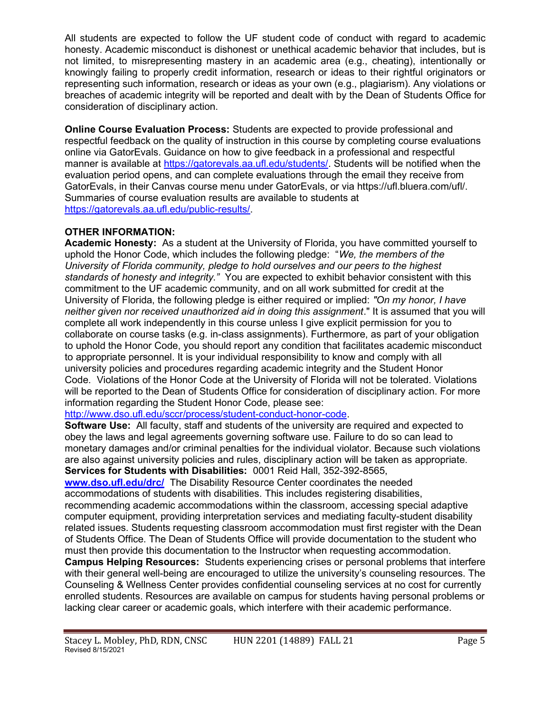All students are expected to follow the UF student code of conduct with regard to academic honesty. Academic misconduct is dishonest or unethical academic behavior that includes, but is not limited, to misrepresenting mastery in an academic area (e.g., cheating), intentionally or knowingly failing to properly credit information, research or ideas to their rightful originators or representing such information, research or ideas as your own (e.g., plagiarism). Any violations or breaches of academic integrity will be reported and dealt with by the Dean of Students Office for consideration of disciplinary action.

Online Course Evaluation Process: Students are expected to provide professional and respectful feedback on the quality of instruction in this course by completing course evaluations online via GatorEvals. Guidance on how to give feedback in a professional and respectful manner is available at https://gatorevals.aa.ufl.edu/students/. Students will be notified when the evaluation period opens, and can complete evaluations through the email they receive from GatorEvals, in their Canvas course menu under GatorEvals, or via https://ufl.bluera.com/ufl/. Summaries of course evaluation results are available to students at https://gatorevals.aa.ufl.edu/public-results/.

## OTHER INFORMATION:

Academic Honesty: As a student at the University of Florida, you have committed yourself to uphold the Honor Code, which includes the following pledge: "We, the members of the University of Florida community, pledge to hold ourselves and our peers to the highest standards of honesty and integrity." You are expected to exhibit behavior consistent with this commitment to the UF academic community, and on all work submitted for credit at the University of Florida, the following pledge is either required or implied: "On my honor, I have neither given nor received unauthorized aid in doing this assignment." It is assumed that you will complete all work independently in this course unless I give explicit permission for you to collaborate on course tasks (e.g. in-class assignments). Furthermore, as part of your obligation to uphold the Honor Code, you should report any condition that facilitates academic misconduct to appropriate personnel. It is your individual responsibility to know and comply with all university policies and procedures regarding academic integrity and the Student Honor Code. Violations of the Honor Code at the University of Florida will not be tolerated. Violations will be reported to the Dean of Students Office for consideration of disciplinary action. For more information regarding the Student Honor Code, please see:

#### http://www.dso.ufl.edu/sccr/process/student-conduct-honor-code.

Software Use: All faculty, staff and students of the university are required and expected to obey the laws and legal agreements governing software use. Failure to do so can lead to monetary damages and/or criminal penalties for the individual violator. Because such violations are also against university policies and rules, disciplinary action will be taken as appropriate. Services for Students with Disabilities: 0001 Reid Hall, 352-392-8565,

www.dso.ufl.edu/drc/ The Disability Resource Center coordinates the needed accommodations of students with disabilities. This includes registering disabilities,

recommending academic accommodations within the classroom, accessing special adaptive computer equipment, providing interpretation services and mediating faculty-student disability related issues. Students requesting classroom accommodation must first register with the Dean of Students Office. The Dean of Students Office will provide documentation to the student who must then provide this documentation to the Instructor when requesting accommodation.

Campus Helping Resources: Students experiencing crises or personal problems that interfere with their general well-being are encouraged to utilize the university's counseling resources. The Counseling & Wellness Center provides confidential counseling services at no cost for currently enrolled students. Resources are available on campus for students having personal problems or lacking clear career or academic goals, which interfere with their academic performance.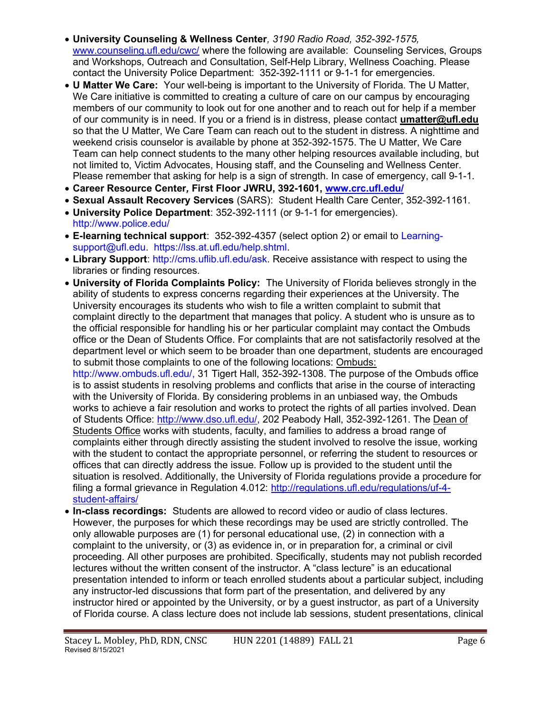- University Counseling & Wellness Center, 3190 Radio Road, 352-392-1575, www.counseling.ufl.edu/cwc/ where the following are available: Counseling Services, Groups and Workshops, Outreach and Consultation, Self-Help Library, Wellness Coaching. Please contact the University Police Department: 352-392-1111 or 9-1-1 for emergencies.
- U Matter We Care: Your well-being is important to the University of Florida. The U Matter, We Care initiative is committed to creating a culture of care on our campus by encouraging members of our community to look out for one another and to reach out for help if a member of our community is in need. If you or a friend is in distress, please contact umatter@ufl.edu so that the U Matter, We Care Team can reach out to the student in distress. A nighttime and weekend crisis counselor is available by phone at 352-392-1575. The U Matter, We Care Team can help connect students to the many other helping resources available including, but not limited to, Victim Advocates, Housing staff, and the Counseling and Wellness Center. Please remember that asking for help is a sign of strength. In case of emergency, call 9-1-1.
- Career Resource Center, First Floor JWRU, 392-1601, www.crc.ufl.edu/
- Sexual Assault Recovery Services (SARS): Student Health Care Center, 352-392-1161.
- University Police Department: 352-392-1111 (or 9-1-1 for emergencies). http://www.police.edu/
- E-learning technical support: 352-392-4357 (select option 2) or email to Learningsupport@ufl.edu. https://lss.at.ufl.edu/help.shtml.
- Library Support: http://cms.uflib.ufl.edu/ask. Receive assistance with respect to using the libraries or finding resources.
- University of Florida Complaints Policy: The University of Florida believes strongly in the ability of students to express concerns regarding their experiences at the University. The University encourages its students who wish to file a written complaint to submit that complaint directly to the department that manages that policy. A student who is unsure as to the official responsible for handling his or her particular complaint may contact the Ombuds office or the Dean of Students Office. For complaints that are not satisfactorily resolved at the department level or which seem to be broader than one department, students are encouraged to submit those complaints to one of the following locations: Ombuds:

http://www.ombuds.ufl.edu/, 31 Tigert Hall, 352-392-1308. The purpose of the Ombuds office is to assist students in resolving problems and conflicts that arise in the course of interacting with the University of Florida. By considering problems in an unbiased way, the Ombuds works to achieve a fair resolution and works to protect the rights of all parties involved. Dean of Students Office: http://www.dso.ufl.edu/, 202 Peabody Hall, 352-392-1261. The Dean of Students Office works with students, faculty, and families to address a broad range of complaints either through directly assisting the student involved to resolve the issue, working with the student to contact the appropriate personnel, or referring the student to resources or offices that can directly address the issue. Follow up is provided to the student until the situation is resolved. Additionally, the University of Florida regulations provide a procedure for filing a formal grievance in Regulation 4.012: http://regulations.ufl.edu/regulations/uf-4 student-affairs/

• In-class recordings: Students are allowed to record video or audio of class lectures. However, the purposes for which these recordings may be used are strictly controlled. The only allowable purposes are (1) for personal educational use, (2) in connection with a complaint to the university, or (3) as evidence in, or in preparation for, a criminal or civil proceeding. All other purposes are prohibited. Specifically, students may not publish recorded lectures without the written consent of the instructor. A "class lecture" is an educational presentation intended to inform or teach enrolled students about a particular subject, including any instructor-led discussions that form part of the presentation, and delivered by any instructor hired or appointed by the University, or by a guest instructor, as part of a University of Florida course. A class lecture does not include lab sessions, student presentations, clinical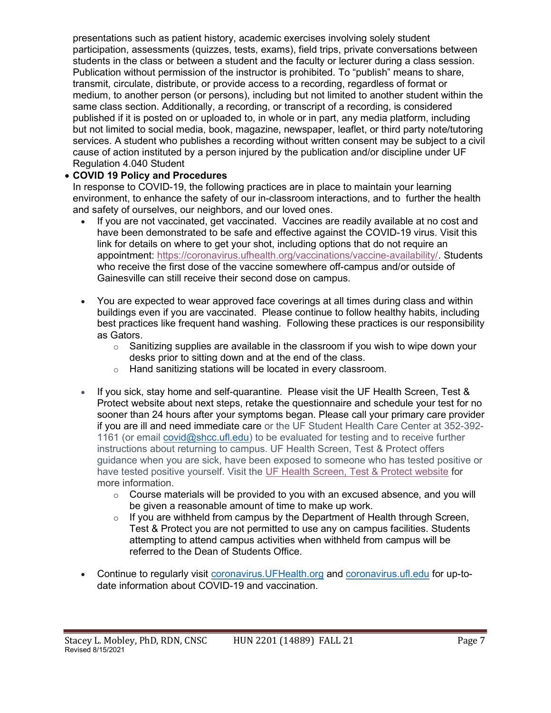presentations such as patient history, academic exercises involving solely student participation, assessments (quizzes, tests, exams), field trips, private conversations between students in the class or between a student and the faculty or lecturer during a class session. Publication without permission of the instructor is prohibited. To "publish" means to share, transmit, circulate, distribute, or provide access to a recording, regardless of format or medium, to another person (or persons), including but not limited to another student within the same class section. Additionally, a recording, or transcript of a recording, is considered published if it is posted on or uploaded to, in whole or in part, any media platform, including but not limited to social media, book, magazine, newspaper, leaflet, or third party note/tutoring services. A student who publishes a recording without written consent may be subject to a civil cause of action instituted by a person injured by the publication and/or discipline under UF Regulation 4.040 Student

## COVID 19 Policy and Procedures

In response to COVID-19, the following practices are in place to maintain your learning environment, to enhance the safety of our in-classroom interactions, and to further the health and safety of ourselves, our neighbors, and our loved ones.

- If you are not vaccinated, get vaccinated. Vaccines are readily available at no cost and have been demonstrated to be safe and effective against the COVID-19 virus. Visit this link for details on where to get your shot, including options that do not require an appointment: https://coronavirus.ufhealth.org/vaccinations/vaccine-availability/. Students who receive the first dose of the vaccine somewhere off-campus and/or outside of Gainesville can still receive their second dose on campus.
- You are expected to wear approved face coverings at all times during class and within buildings even if you are vaccinated. Please continue to follow healthy habits, including best practices like frequent hand washing. Following these practices is our responsibility as Gators.
	- $\circ$  Sanitizing supplies are available in the classroom if you wish to wipe down your desks prior to sitting down and at the end of the class.
	- o Hand sanitizing stations will be located in every classroom.
- If you sick, stay home and self-quarantine. Please visit the UF Health Screen, Test & Protect website about next steps, retake the questionnaire and schedule your test for no sooner than 24 hours after your symptoms began. Please call your primary care provider if you are ill and need immediate care or the UF Student Health Care Center at 352-392- 1161 (or email covid@shcc.ufl.edu) to be evaluated for testing and to receive further instructions about returning to campus. UF Health Screen, Test & Protect offers guidance when you are sick, have been exposed to someone who has tested positive or have tested positive yourself. Visit the UF Health Screen, Test & Protect website for more information.
	- $\circ$  Course materials will be provided to you with an excused absence, and you will be given a reasonable amount of time to make up work.
	- $\circ$  If you are withheld from campus by the Department of Health through Screen, Test & Protect you are not permitted to use any on campus facilities. Students attempting to attend campus activities when withheld from campus will be referred to the Dean of Students Office.
- Continue to regularly visit coronavirus. UFHealth.org and coronavirus. ufl.edu for up-todate information about COVID-19 and vaccination.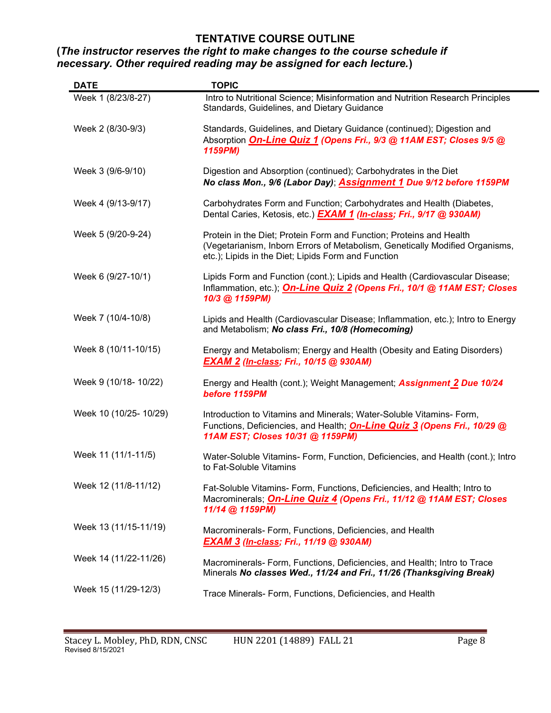## TENTATIVE COURSE OUTLINE

## (The instructor reserves the right to make changes to the course schedule if necessary. Other required reading may be assigned for each lecture.)

| <b>DATE</b>            | <b>TOPIC</b>                                                                                                                                                                                               |
|------------------------|------------------------------------------------------------------------------------------------------------------------------------------------------------------------------------------------------------|
| Week 1 (8/23/8-27)     | Intro to Nutritional Science; Misinformation and Nutrition Research Principles<br>Standards, Guidelines, and Dietary Guidance                                                                              |
| Week 2 (8/30-9/3)      | Standards, Guidelines, and Dietary Guidance (continued); Digestion and<br>Absorption <b>On-Line Quiz 1 (Opens Fri., 9/3 @ 11AM EST; Closes 9/5 @</b><br>1159PM)                                            |
| Week 3 (9/6-9/10)      | Digestion and Absorption (continued); Carbohydrates in the Diet<br>No class Mon., 9/6 (Labor Day); Assignment 1 Due 9/12 before 1159PM                                                                     |
| Week 4 (9/13-9/17)     | Carbohydrates Form and Function; Carbohydrates and Health (Diabetes,<br>Dental Caries, Ketosis, etc.) <b>EXAM 1 (In-class; Fri., 9/17 @ 930AM)</b>                                                         |
| Week 5 (9/20-9-24)     | Protein in the Diet; Protein Form and Function; Proteins and Health<br>(Vegetarianism, Inborn Errors of Metabolism, Genetically Modified Organisms,<br>etc.); Lipids in the Diet; Lipids Form and Function |
| Week 6 (9/27-10/1)     | Lipids Form and Function (cont.); Lipids and Health (Cardiovascular Disease;<br>Inflammation, etc.); On-Line Quiz 2 (Opens Fri., 10/1 @ 11AM EST; Closes<br>10/3 @ 1159PM)                                 |
| Week 7 (10/4-10/8)     | Lipids and Health (Cardiovascular Disease; Inflammation, etc.); Intro to Energy<br>and Metabolism; No class Fri., 10/8 (Homecoming)                                                                        |
| Week 8 (10/11-10/15)   | Energy and Metabolism; Energy and Health (Obesity and Eating Disorders)<br>EXAM 2 (In-class; Fri., 10/15 @ 930AM)                                                                                          |
| Week 9 (10/18- 10/22)  | Energy and Health (cont.); Weight Management; <b>Assignment 2 Due 10/24</b><br>before 1159PM                                                                                                               |
| Week 10 (10/25- 10/29) | Introduction to Vitamins and Minerals; Water-Soluble Vitamins- Form,<br>Functions, Deficiencies, and Health; On-Line Quiz 3 (Opens Fri., 10/29 @<br>11AM EST; Closes 10/31 @ 1159PM)                       |
| Week 11 (11/1-11/5)    | Water-Soluble Vitamins- Form, Function, Deficiencies, and Health (cont.); Intro<br>to Fat-Soluble Vitamins                                                                                                 |
| Week 12 (11/8-11/12)   | Fat-Soluble Vitamins- Form, Functions, Deficiencies, and Health; Intro to<br>Macrominerals; <i>On-Line Quiz 4 (Opens Fri., 11/12 @ 11AM EST; Closes</i><br>11/14 @ 1159PM)                                 |
| Week 13 (11/15-11/19)  | Macrominerals- Form, Functions, Deficiencies, and Health<br>EXAM 3 (In-class; Fri., 11/19 @ 930AM)                                                                                                         |
| Week 14 (11/22-11/26)  | Macrominerals- Form, Functions, Deficiencies, and Health; Intro to Trace<br>Minerals No classes Wed., 11/24 and Fri., 11/26 (Thanksgiving Break)                                                           |
| Week 15 (11/29-12/3)   | Trace Minerals- Form, Functions, Deficiencies, and Health                                                                                                                                                  |